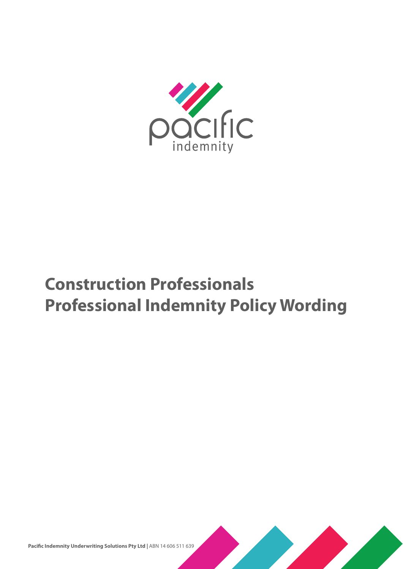

# **Construction Professionals Professional Indemnity Policy Wording**



Pacific Indemnity Underwriting Solutions Pty Ltd | ABN 14 606 511 639

i | Construction Professionals Professional Indemnity Policy Wording - PIUS CON 0319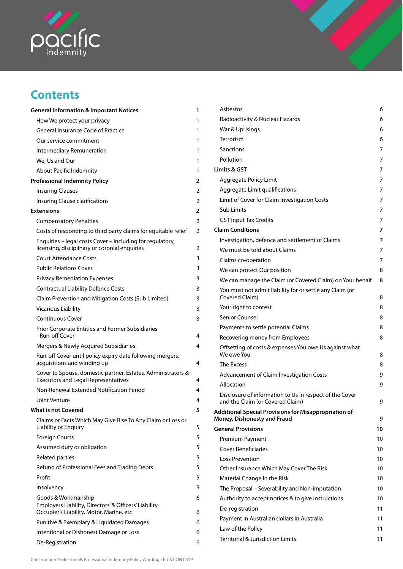

## **Contents**

| <b>General Information &amp; Important Notices</b>                                                                        | 1      |
|---------------------------------------------------------------------------------------------------------------------------|--------|
| How We protect your privacy                                                                                               | 1      |
| <b>General Insurance Code of Practice</b>                                                                                 | 1      |
| Our service commitment                                                                                                    | 1      |
| Intermediary Remuneration                                                                                                 | 1      |
| We, Us and Our                                                                                                            | 1      |
| About Pacific Indemnity                                                                                                   | 1      |
| <b>Professional Indemnity Policy</b>                                                                                      | 2      |
| <b>Insuring Clauses</b>                                                                                                   | 2      |
| Insuring Clause clarifications                                                                                            | 2      |
| <b>Extensions</b>                                                                                                         | 2      |
| <b>Compensatory Penalties</b>                                                                                             | 2      |
| Costs of responding to third party claims for equitable relief                                                            | 2      |
| Enquiries – legal costs Cover – including for regulatory,<br>licensing, disciplinary or coronial enquiries                | 2      |
| <b>Court Attendance Costs</b>                                                                                             | 3      |
| <b>Public Relations Cover</b>                                                                                             | 3      |
| <b>Privacy Remediation Expenses</b>                                                                                       | 3      |
| <b>Contractual Liability Defence Costs</b>                                                                                | 3      |
| Claim Prevention and Mitigation Costs (Sub Limited)                                                                       | 3      |
| <b>Vicarious Liability</b>                                                                                                | 3      |
| <b>Continuous Cover</b>                                                                                                   | 3      |
| <b>Prior Corporate Entities and Former Subsidiaries</b><br>- Run-off Cover                                                | 4      |
| Mergers & Newly Acquired Subsidiaries                                                                                     | 4      |
| Run-off Cover until policy expiry date following mergers,<br>acquisitions and winding up                                  | 4      |
| Cover to Spouse, domestic partner, Estates, Administrators &<br><b>Executors and Legal Representatives</b>                | 4      |
| Non-Renewal Extended Notification Period                                                                                  | 4      |
| Joint Venture                                                                                                             | 4      |
| <b>What is not Covered</b>                                                                                                | 5      |
| Claims or Facts Which May Give Rise To Any Claim or Loss or<br>Liability or Enquiry                                       | 5      |
| <b>Foreign Courts</b>                                                                                                     | 5      |
| Assumed duty or obligation                                                                                                | 5      |
| <b>Related parties</b>                                                                                                    | 5      |
| Refund of Professional Fees and Trading Debts                                                                             | 5      |
| Profit                                                                                                                    | 5      |
| Insolvency                                                                                                                | 5      |
| Goods & Workmanship<br>Employers Liability, Directors' & Officers' Liability,<br>Occupier's Liability, Motor, Marine, etc | 6<br>6 |
| Punitive & Exemplary & Liquidated Damages                                                                                 | 6      |
| Intentional or Dishonest Damage or Loss                                                                                   | 6      |
| De-Registration                                                                                                           | 6      |
|                                                                                                                           |        |

| Asbestos                                                                                    | 6  |
|---------------------------------------------------------------------------------------------|----|
| Radioactivity & Nuclear Hazards                                                             | 6  |
| War & Uprisings                                                                             | 6  |
| Terrorism                                                                                   | 6  |
| Sanctions                                                                                   | 7  |
| Pollution                                                                                   | 7  |
| Limits & GST                                                                                | 7  |
| Aggregate Policy Limit                                                                      | 7  |
| Aggregate Limit qualifications                                                              | 7  |
| Limit of Cover for Claim Investigation Costs                                                | 7  |
| Sub Limits                                                                                  | 7  |
| <b>GST Input Tax Credits</b>                                                                | 7  |
| <b>Claim Conditions</b>                                                                     | 7  |
| Investigation, defence and settlement of Claims                                             | 7  |
| We must be told about Claims                                                                | 7  |
| Claims co-operation                                                                         | 7  |
| We can protect Our position                                                                 | 8  |
| We can manage the Claim (or Covered Claim) on Your behalf                                   | 8  |
| You must not admit liability for or settle any Claim (or<br>Covered Claim)                  | 8  |
| Your right to contest                                                                       | 8  |
| Senior Counsel                                                                              | 8  |
| Payments to settle potential Claims                                                         | 8  |
| Recovering money from Employees                                                             | 8  |
| Offsetting of costs & expenses You owe Us against what<br>We owe You                        | 8  |
| The Excess                                                                                  | 8  |
| Advancement of Claim Investigation Costs                                                    | 9  |
| Allocation                                                                                  | 9  |
| Disclosure of information to Us in respect of the Cover<br>and the Claim (or Covered Claim) | 9  |
| <b>Additional Special Provisions for Misappropriation of</b><br>Money, Dishonesty and Fraud | 9  |
| <b>General Provisions</b>                                                                   | 10 |
| Premium Payment                                                                             | 10 |
| <b>Cover Beneficiaries</b>                                                                  | 10 |
| Loss Prevention                                                                             | 10 |
| Other Insurance Which May Cover The Risk                                                    | 10 |
| Material Change in the Risk                                                                 | 10 |
| The Proposal – Severability and Non-imputation                                              | 10 |
| Authority to accept notices & to give instructions                                          | 10 |
| De-registration                                                                             | 11 |
| Payment in Australian dollars in Australia                                                  | 11 |
| Law of the Policy                                                                           | 11 |
| Territorial & Jurisdiction Limits                                                           | 11 |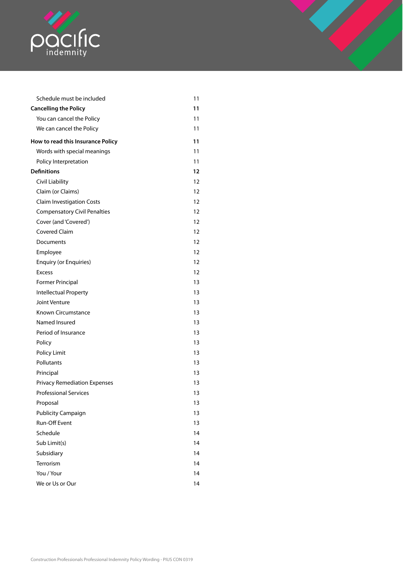

| Schedule must be included           | 11 |
|-------------------------------------|----|
| <b>Cancelling the Policy</b>        | 11 |
| You can cancel the Policy           | 11 |
| We can cancel the Policy            | 11 |
| How to read this Insurance Policy   | 11 |
| Words with special meanings         | 11 |
| Policy Interpretation               | 11 |
| <b>Definitions</b>                  | 12 |
| Civil Liability                     | 12 |
| Claim (or Claims)                   | 12 |
| <b>Claim Investigation Costs</b>    | 12 |
| <b>Compensatory Civil Penalties</b> | 12 |
| Cover (and 'Covered')               | 12 |
| <b>Covered Claim</b>                | 12 |
| Documents                           | 12 |
| Employee                            | 12 |
| <b>Enquiry (or Enquiries)</b>       | 12 |
| <b>Excess</b>                       | 12 |
| <b>Former Principal</b>             | 13 |
| Intellectual Property               | 13 |
| Joint Venture                       | 13 |
| <b>Known Circumstance</b>           | 13 |
| Named Insured                       | 13 |
| Period of Insurance                 | 13 |
| Policy                              | 13 |
| Policy Limit                        | 13 |
| Pollutants                          | 13 |
| Principal                           | 13 |
| <b>Privacy Remediation Expenses</b> | 13 |
| <b>Professional Services</b>        | 13 |
| Proposal                            | 13 |
| <b>Publicity Campaign</b>           | 13 |
| <b>Run-Off Event</b>                | 13 |
| Schedule                            | 14 |
| Sub Limit(s)                        | 14 |
| Subsidiary                          | 14 |
| Terrorism                           | 14 |
| You / Your                          | 14 |
| We or Us or Our                     | 14 |
|                                     |    |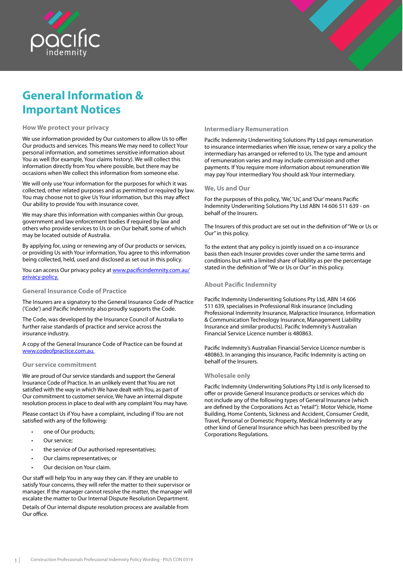<span id="page-3-0"></span>

## **General Information & Important Notices**

#### **How We protect your privacy**

We use information provided by Our customers to allow Us to offer Our products and services. This means We may need to collect Your personal information, and sometimes sensitive information about .<br>You as well (for example, Your claims history). We will collect this information directly from You where possible, but there may be occasions when We collect this information from someone else.

We will only use Your information for the purposes for which it was collected, other related purposes and as permitted or required by law. You may choose not to give Us Your information, but this may affect Our ability to provide You with insurance cover.

We may share this information with companies within Our group, government and law enforcement bodies if required by law and others who provide services to Us or on Our behalf, some of which may be located outside of Australia.

By applying for, using or renewing any of Our products or services, or providing Us with Your information, You agree to this information being collected, held, used and disclosed as set out in this policy.

You can access Our privacy policy at www.pacificindemnity.com.au/ privacy-policy.

#### **General Insurance Code of Practice**

The Insurers are a signatory to the General Insurance Code of Practice ('Code') and Pacific Indemnity also proudly supports the Code.

The Code, was developed by the Insurance Council of Australia to further raise standards of practice and service across the insurance industry.

A copy of the General Insurance Code of Practice can be found at www.codeofpractice.com.au.

#### **Our service commitment**

We are proud of Our service standards and support the General Insurance Code of Practice. In an unlikely event that You are not satisfied with the way in which We have dealt with You, as part of Our commitment to customer service, We have an internal dispute resolution process in place to deal with any complaint You may have.

Please contact Us if You have a complaint, including if You are not satisfied with any of the following:

- one of Our products;
- Our service:
- the service of Our authorised representatives;
- Our claims representatives; or
- Our decision on Your claim.

Our staff will help You in any way they can. If they are unable to satisfy Your concerns, they will refer the matter to their supervisor or manager. If the manager cannot resolve the matter, the manager will escalate the matter to Our Internal Dispute Resolution Department. Details of Our internal dispute resolution process are available from Our office.

#### **Intermediary Remuneration**

Pacific Indemnity Underwriting Solutions Pty Ltd pays remuneration to insurance intermediaries when We issue, renew or vary a policy the intermediary has arranged or referred to Us. The type and amount of remuneration varies and may include commission and other payments. If You require more information about remuneration We may pay Your intermediary You should ask Your intermediary.

#### **We, Us and Our**

For the purposes of this policy, 'We', 'Us', and 'Our' means Pacific Indemnity Underwriting Solutions Pty Ltd ABN 14 606 511 639 - on behalf of the Insurers.

The Insurers of this product are set out in the definition of "We or Us or Our" in this policy.

To the extent that any policy is jointly issued on a co-insurance basis then each Insurer provides cover under the same terms and conditions but with a limited share of liability as per the percentage stated in the definition of "We or Us or Our" in this policy.

## **About Pacific Indemnity**

Pacific Indemnity Underwriting Solutions Pty Ltd, ABN 14 606 511 639, specialises in Professional Risk insurance (including Professional Indemnity Insurance, Malpractice Insurance, Information & Communication Technology Insurance, Management Liability Insurance and similar products). Pacific Indemnity's Australian Financial Service Licence number is 480863.

Pacific Indemnity's Australian Financial Service Licence number is 480863. In arranging this insurance, Pacific Indemnity is acting on behalf of the Insurers.

#### **Wholesale only**

Pacific Indemnity Underwriting Solutions Pty Ltd is only licensed to offer or provide General Insurance products or services which do not include any of the following types of General Insurance (which are defined by the Corporations Act as "retail"): Motor Vehicle, Home Building, Home Contents, Sickness and Accident, Consumer Credit, Travel, Personal or Domestic Property, Medical Indemnity or any other kind of General Insurance which has been prescribed by the Corporations Regulations.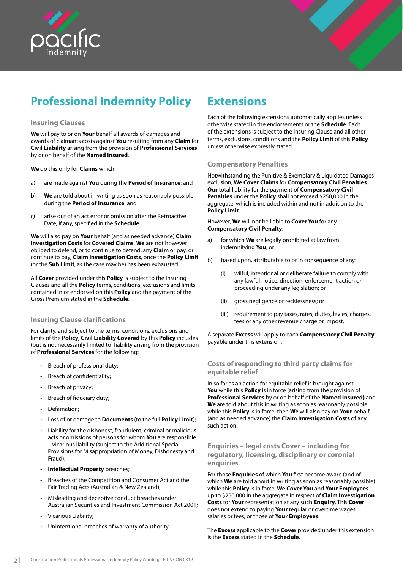<span id="page-4-0"></span>



## **Professional Indemnity Policy**

### **Insuring Clauses**

**We** will pay to or on **Your** behalf all awards of damages and awards of claimants costs against **You** resulting from any **Claim** for **Civil Liability** arising from the provision of **Professional Services** by or on behalf of the **Named Insured**.

**We** do this only for **Claims** which:

- a) are made against **You** during the **Period of Insurance**; and
- b) **We** are told about in writing as soon as reasonably possible during the **Period of Insurance**; and
- c) arise out of an act error or omission after the Retroactive Date, if any, specified in the **Schedule**.

**We** will also pay on **Your** behalf (and as needed advance) **Claim Investigation Costs** for **Covered Claims**. **We** are not however obliged to defend, or to continue to defend, any **Claim** or pay, or continue to pay, **Claim Investigation Costs**, once the **Policy Limit**  (or the **Sub Limit**, as the case may be) has been exhausted.

All **Cover** provided under this **Policy** is subject to the Insuring Clauses and all the **Policy** terms, conditions, exclusions and limits contained in or endorsed on this **Policy** and the payment of the Gross Premium stated in the **Schedule**.

## **Insuring Clause clarifications**

For clarity, and subject to the terms, conditions, exclusions and limits of the **Policy**, **Civil Liability Covered** by this **Policy** includes (but is not necessarily limited to) liability arising from the provision of **Professional Services** for the following:

- Breach of professional duty;
- Breach of confidentiality;
- Breach of privacy;
- Breach of fiduciary duty;
- Defamation;
- Loss of or damage to **Documents** (to the full **Policy Limit**);
- Liability for the dishonest, fraudulent, criminal or malicious acts or omissions of persons for whom **You** are responsible – vicarious liability (subject to the Additional Special Provisions for Misappropriation of Money, Dishonesty and Fraud);
- **Intellectual Property** breaches;
- Breaches of the Competition and Consumer Act and the Fair Trading Acts (Australian & New Zealand);
- Misleading and deceptive conduct breaches under Australian Securities and Investment Commission Act 2001;
- Vicarious Liability;
- Unintentional breaches of warranty of authority.

## **Extensions**

Each of the following extensions automatically applies unless otherwise stated in the endorsements or the **Schedule**. Each of the extensions is subject to the Insuring Clause and all other terms, exclusions, conditions and the **Policy Limit** of this **Policy** unless otherwise expressly stated.

## **Compensatory Penalties**

Notwithstanding the Punitive & Exemplary & Liquidated Damages exclusion, **We Cover Claims** for **Compensatory Civil Penalties**. **Our** total liability for the payment of **Compensatory Civil Penalties** under the **Policy** shall not exceed \$250,000 in the aggregate, which is included within and not in addition to the **Policy Limit**.

However, **We** will not be liable to **Cover You** for any **Compensatory Civil Penalty**:

- a) for which **We** are legally prohibited at law from indemnifying **You**; or
- b) based upon, attributable to or in consequence of any:
	- (i) wilful, intentional or deliberate failure to comply with any lawful notice, direction, enforcement action or proceeding under any legislation; or
	- (ii) gross negligence or recklessness; or
	- (iii) requirement to pay taxes, rates, duties, levies, charges, fees or any other revenue charge or impost.

A separate **Excess** will apply to each **Compensatory Civil Penalty** payable under this extension.

## **Costs of responding to third party claims for equitable relief**

In so far as an action for equitable relief is brought against **You** while this **Policy** is in force (arising from the provision of **Professional Services** by or on behalf of the **Named Insured)** and **We** are told about this in writing as soon as reasonably possible while this **Policy** is in force, then **We** will also pay on **Your** behalf (and as needed advance) the **Claim Investigation Costs** of any such action.

## **Enquiries – legal costs Cover – including for regulatory, licensing, disciplinary or coronial enquiries**

For those **Enquiries** of which **You** first become aware (and of which **We** are told about in writing as soon as reasonably possible) while this **Policy** is in force, **We Cover You** and **Your Employees**  up to \$250,000 in the aggregate in respect of **Claim Investigation Costs** for **Your** representation at any such **Enquiry**. This **Cover**  does not extend to paying **Your** regular or overtime wages, salaries or fees, or those of **Your Employees**.

The **Excess** applicable to the **Cover** provided under this extension is the **Excess** stated in the **Schedule**.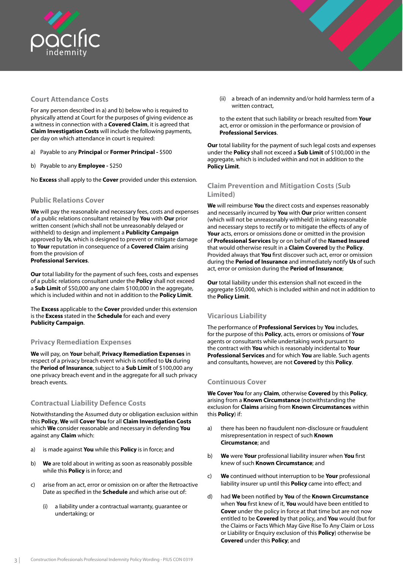<span id="page-5-0"></span>

## **Court Attendance Costs**

For any person described in a) and b) below who is required to physically attend at Court for the purposes of giving evidence as a witness in connection with a **Covered Claim**, it is agreed that **Claim Investigation Costs** will include the following payments, per day on which attendance in court is required:

- a) Payable to any **Principal** or **Former Principal** \$500
- b) Payable to any **Employee** \$250

No **Excess** shall apply to the **Cover** provided under this extension.

## **Public Relations Cover**

**We** will pay the reasonable and necessary fees, costs and expenses of a public relations consultant retained by **You** with **Our** prior written consent (which shall not be unreasonably delayed or withheld) to design and implement a **Publicity Campaign** approved by **Us**, which is designed to prevent or mitigate damage to **Your** reputation in consequence of a **Covered Claim** arising from the provision of **Professional Services**.

**Our** total liability for the payment of such fees, costs and expenses of a public relations consultant under the **Policy** shall not exceed a **Sub Limit** of \$50,000 any one claim \$100,000 in the aggregate, which is included within and not in addition to the **Policy Limit**.

The **Excess** applicable to the **Cover** provided under this extension is the **Excess** stated in the **Schedule** for each and every **Publicity Campaign**.

## **Privacy Remediation Expenses**

**We** will pay, on **Your** behalf, **Privacy Remediation Expenses** in respect of a privacy breach event which is notified to **Us** during the **Period of Insurance**, subject to a **Sub Limit** of \$100,000 any one privacy breach event and in the aggregate for all such privacy breach events.

## **Contractual Liability Defence Costs**

Notwithstanding the Assumed duty or obligation exclusion within this **Policy**, **We** will **Cover You** for all **Claim Investigation Costs** which **We** consider reasonable and necessary in defending **You**  against any **Claim** which:

- a) is made against **You** while this **Policy** is in force; and
- b) **We** are told about in writing as soon as reasonably possible while this **Policy** is in force; and
- c) arise from an act, error or omission on or after the Retroactive Date as specified in the **Schedule** and which arise out of:
	- (i) a liability under a contractual warranty, guarantee or undertaking; or

(ii) a breach of an indemnity and/or hold harmless term of a written contract,

to the extent that such liability or breach resulted from **Your** act, error or omission in the performance or provision of **Professional Services**.

**Our** total liability for the payment of such legal costs and expenses under the **Policy** shall not exceed a **Sub Limit** of \$100,000 in the aggregate, which is included within and not in addition to the **Policy Limit**.

## **Claim Prevention and Mitigation Costs (Sub Limited)**

**We** will reimburse **You** the direct costs and expenses reasonably and necessarily incurred by **You** with **Our** prior written consent (which will not be unreasonably withheld) in taking reasonable and necessary steps to rectify or to mitigate the effects of any of **Your** acts, errors or omissions done or omitted in the provision of **Professional Services** by or on behalf of the **Named Insured** that would otherwise result in a **Claim Covered** by the **Policy**. Provided always that **You** first discover such act, error or omission during the **Period of Insurance** and immediately notify **Us** of such act, error or omission during the **Period of Insurance**;

**Our** total liability under this extension shall not exceed in the aggregate \$50,000, which is included within and not in addition to the **Policy Limit**.

## **Vicarious Liability**

The performance of **Professional Services** by **You** includes, for the purpose of this **Policy**, acts, errors or omissions of **Your** agents or consultants while undertaking work pursuant to the contract with **You** which is reasonably incidental to **Your Professional Services** and for which **You** are liable. Such agents and consultants, however, are not **Covered** by this **Policy**.

## **Continuous Cover**

**We Cover You** for any **Claim**, otherwise **Covered** by this **Policy**, arising from a **Known Circumstance** (notwithstanding the exclusion for **Claims** arising from **Known Circumstances** within this **Policy**) if:

- a) there has been no fraudulent non-disclosure or fraudulent misrepresentation in respect of such **Known Circumstance**; and
- b) **We** were **Your** professional liability insurer when **You** first knew of such **Known Circumstance**; and
- c) **We** continued without interruption to be **Your** professional liability insurer up until this **Policy** came into effect; and
- d) had **We** been notified by **You** of the **Known Circumstance**  when **You** first knew of it, **You** would have been entitled to **Cover** under the policy in force at that time but are not now entitled to be **Covered** by that policy, and **You** would (but for the Claims or Facts Which May Give Rise To Any Claim or Loss or Liability or Enquiry exclusion of this **Policy**) otherwise be **Covered** under this **Policy**; and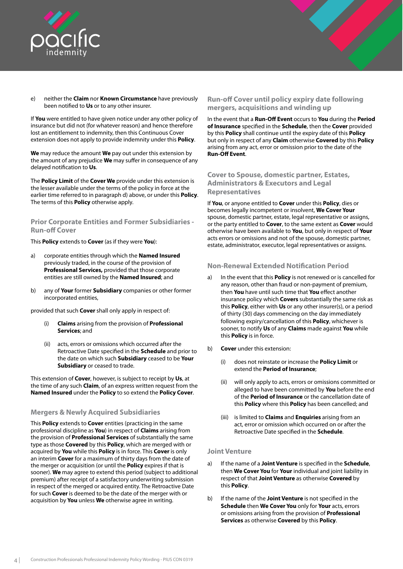<span id="page-6-0"></span>

- 
- e) neither the **Claim** nor **Known Circumstance** have previously been notified to **Us** or to any other insurer.

If **You** were entitled to have given notice under any other policy of insurance but did not (for whatever reason) and hence therefore lost an entitlement to indemnity, then this Continuous Cover extension does not apply to provide indemnity under this **Policy**.

**We** may reduce the amount **We** pay out under this extension by the amount of any prejudice **We** may suffer in consequence of any delayed notification to **Us**.

The **Policy Limit** of the **Cover We** provide under this extension is the lesser available under the terms of the policy in force at the earlier time referred to in paragraph d) above, or under this **Policy**. The terms of this **Policy** otherwise apply.

**Prior Corporate Entities and Former Subsidiaries - Run-off Cover**

This **Policy** extends to **Cover** (as if they were **You**):

- a) corporate entities through which the **Named Insured**  previously traded, in the course of the provision of **Professional Services,** provided that those corporate entities are still owned by the **Named Insured**; and
- b) any of **Your** former **Subsidiary** companies or other former incorporated entities,

provided that such **Cover** shall only apply in respect of:

- (i) **Claims** arising from the provision of **Professional Services**; and
- (ii) acts, errors or omissions which occurred after the Retroactive Date specified in the **Schedule** and prior to the date on which such **Subsidiary** ceased to be **Your Subsidiary** or ceased to trade.

This extension of **Cover**, however, is subject to receipt by **Us**, at the time of any such **Claim**, of an express written request from the **Named Insured** under the **Policy** to so extend the **Policy Cover**.

## **Mergers & Newly Acquired Subsidiaries**

This **Policy** extends to **Cover** entities (practicing in the same professional discipline as **You**) in respect of **Claims** arising from the provision of **Professional Services** of substantially the same type as those **Covered** by this **Policy**, which are merged with or acquired by **You** while this **Policy** is in force. This **Cover** is only an interim **Cover** for a maximum of thirty days from the date of the merger or acquisition (or until the **Policy** expires if that is sooner). **We** may agree to extend this period (subject to additional premium) after receipt of a satisfactory underwriting submission in respect of the merged or acquired entity. The Retroactive Date for such **Cover** is deemed to be the date of the merger with or acquisition by **You** unless **We** otherwise agree in writing.

## **Run-off Cover until policy expiry date following mergers, acquisitions and winding up**

In the event that a **Run-Off Event** occurs to **You** during the **Period of Insurance** specified in the **Schedule**, then the **Cover** provided by this **Policy** shall continue until the expiry date of this **Policy**  but only in respect of any **Claim** otherwise **Covered** by this **Policy**  arising from any act, error or omission prior to the date of the **Run-Off Event**.

## **Cover to Spouse, domestic partner, Estates, Administrators & Executors and Legal Representatives**

If **You**, or anyone entitled to **Cover** under this **Policy**, dies or becomes legally incompetent or insolvent, **We Cover Your** spouse, domestic partner, estate, legal representative or assigns, or the party entitled to **Cover**, to the same extent as **Cover** would otherwise have been available to **You**, but only in respect of **Your** acts errors or omissions and not of the spouse, domestic partner, estate, administrator, executor, legal representatives or assigns.

## **Non-Renewal Extended Notification Period**

- a) In the event that this **Policy** is not renewed or is cancelled for any reason, other than fraud or non-payment of premium, then **You** have until such time that **You** effect another insurance policy which **Covers** substantially the same risk as this **Policy**, either with **Us** or any other insurer(s), or a period of thirty (30) days commencing on the day immediately following expiry/cancellation of this **Policy**, whichever is sooner, to notify **Us** of any **Claims** made against **You** while this **Policy** is in force.
- b) **Cover** under this extension:
	- (i) does not reinstate or increase the **Policy Limit** or extend the **Period of Insurance**;
	- (ii) will only apply to acts, errors or omissions committed or alleged to have been committed by **You** before the end of the **Period of Insurance** or the cancellation date of this **Policy** where this **Policy** has been cancelled; and
	- (iii) is limited to **Claims** and **Enquiries** arising from an act, error or omission which occurred on or after the Retroactive Date specified in the **Schedule**.

## **Joint Venture**

- a) If the name of a **Joint Venture** is specified in the **Schedule**, then **We Cover You** for **Your** individual and joint liability in respect of that **Joint Venture** as otherwise **Covered** by this **Policy**.
- b) If the name of the **Joint Venture** is not specified in the **Schedule** then **We Cover You** only for **Your** acts, errors or omissions arising from the provision of **Professional Services** as otherwise **Covered** by this **Policy**.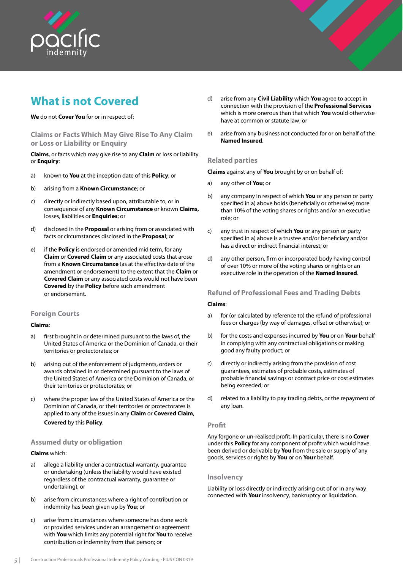<span id="page-7-0"></span>

## **What is not Covered**

### **We** do not **Cover You** for or in respect of:

**Claims or Facts Which May Give Rise To Any Claim or Loss or Liability or Enquiry**

**Claims**, or facts which may give rise to any **Claim** or loss or liability or **Enquiry**:

- a) known to **You** at the inception date of this **Policy**; or
- b) arising from a **Known Circumstance**; or
- c) directly or indirectly based upon, attributable to, or in consequence of any **Known Circumstance** or known **Claims,**  losses, liabilities or **Enquiries**; or
- d) disclosed in the **Proposal** or arising from or associated with facts or circumstances disclosed in the **Proposal**; or
- e) if the **Policy** is endorsed or amended mid term, for any **Claim** or **Covered Claim** or any associated costs that arose from a **Known Circumstance** (as at the effective date of the amendment or endorsement) to the extent that the **Claim** or **Covered Claim** or any associated costs would not have been **Covered** by the **Policy** before such amendment or endorsement.

## **Foreign Courts**

## **Claims**:

- a) first brought in or determined pursuant to the laws of, the United States of America or the Dominion of Canada, or their territories or protectorates; or
- b) arising out of the enforcement of judgments, orders or awards obtained in or determined pursuant to the laws of the United States of America or the Dominion of Canada, or their territories or protectorates; or
- c) where the proper law of the United States of America or the Dominion of Canada, or their territories or protectorates is applied to any of the issues in any **Claim** or **Covered Claim**, **Covered** by this **Policy**.

## **Assumed duty or obligation**

#### **Claims** which:

- a) allege a liability under a contractual warranty, guarantee or undertaking (unless the liability would have existed regardless of the contractual warranty, guarantee or undertaking); or
- b) arise from circumstances where a right of contribution or indemnity has been given up by **You**; or
- c) arise from circumstances where someone has done work or provided services under an arrangement or agreement with **You** which limits any potential right for **You** to receive contribution or indemnity from that person; or
- d) arise from any **Civil Liability** which **You** agree to accept in connection with the provision of the **Professional Services** which is more onerous than that which **You** would otherwise have at common or statute law; or
- e) arise from any business not conducted for or on behalf of the **Named Insured**.

#### **Related parties**

**Claims** against any of **You** brought by or on behalf of:

- a) any other of **You**; or
- b) any company in respect of which **You** or any person or party specified in a) above holds (beneficially or otherwise) more than 10% of the voting shares or rights and/or an executive role; or
- c) any trust in respect of which **You** or any person or party specified in a) above is a trustee and/or beneficiary and/or has a direct or indirect financial interest; or
- d) any other person, firm or incorporated body having control of over 10% or more of the voting shares or rights or an executive role in the operation of the **Named Insured**.

## **Refund of Professional Fees and Trading Debts**

#### **Claims**:

- a) for (or calculated by reference to) the refund of professional fees or charges (by way of damages, offset or otherwise); or
- b) for the costs and expenses incurred by **You** or on **Your** behalf in complying with any contractual obligations or making good any faulty product; or
- c) directly or indirectly arising from the provision of cost guarantees, estimates of probable costs, estimates of probable financial savings or contract price or cost estimates being exceeded; or
- d) related to a liability to pay trading debts, or the repayment of any loan.

#### **Profit**

Any forgone or un-realised profit. In particular, there is no **Cover**  under this **Policy** for any component of profit which would have been derived or derivable by **You** from the sale or supply of any goods, services or rights by **You** or on **Your** behalf.

#### **Insolvency**

Liability or loss directly or indirectly arising out of or in any way connected with **Your** insolvency, bankruptcy or liquidation.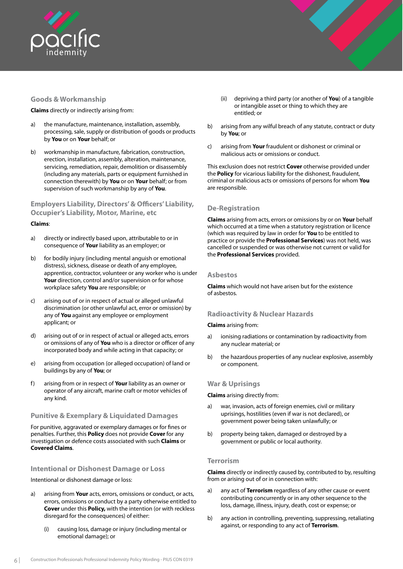<span id="page-8-0"></span>

## **Goods & Workmanship**

**Claims** directly or indirectly arising from:

- a) the manufacture, maintenance, installation, assembly, processing, sale, supply or distribution of goods or products by **You** or on **Your** behalf; or
- b) workmanship in manufacture, fabrication, construction, erection, installation, assembly, alteration, maintenance, servicing, remediation, repair, demolition or disassembly (including any materials, parts or equipment furnished in connection therewith) by **You** or on **Your** behalf; or from supervision of such workmanship by any of **You**.

## **Employers Liability, Directors' & Officers' Liability, Occupier's Liability, Motor, Marine, etc**

#### **Claims**:

- a) directly or indirectly based upon, attributable to or in consequence of **Your** liability as an employer; or
- b) for bodily injury (including mental anguish or emotional distress), sickness, disease or death of any employee, apprentice, contractor, volunteer or any worker who is under **Your** direction, control and/or supervision or for whose workplace safety **You** are responsible; or
- c) arising out of or in respect of actual or alleged unlawful discrimination (or other unlawful act, error or omission) by any of **You** against any employee or employment applicant; or
- d) arising out of or in respect of actual or alleged acts, errors or omissions of any of **You** who is a director or officer of any incorporated body and while acting in that capacity; or
- e) arising from occupation (or alleged occupation) of land or buildings by any of **You**; or
- f) arising from or in respect of **Your** liability as an owner or operator of any aircraft, marine craft or motor vehicles of any kind.

## **Punitive & Exemplary & Liquidated Damages**

For punitive, aggravated or exemplary damages or for fines or penalties. Further, this **Policy** does not provide **Cover** for any investigation or defence costs associated with such **Claims** or **Covered Claims**.

## **Intentional or Dishonest Damage or Loss**

Intentional or dishonest damage or loss:

- a) arising from **Your** acts, errors, omissions or conduct, or acts, errors, omissions or conduct by a party otherwise entitled to **Cover** under this **Policy,** with the intention (or with reckless disregard for the consequences) of either:
	- (i) causing loss, damage or injury (including mental or emotional damage); or
- (ii) depriving a third party (or another of **You**) of a tangible or intangible asset or thing to which they are entitled; or
- b) arising from any wilful breach of any statute, contract or duty by **You**; or
- c) arising from **Your** fraudulent or dishonest or criminal or malicious acts or omissions or conduct.

This exclusion does not restrict **Cover** otherwise provided under the **Policy** for vicarious liability for the dishonest, fraudulent, criminal or malicious acts or omissions of persons for whom **You** are responsible.

## **De-Registration**

**Claims** arising from acts, errors or omissions by or on **Your** behalf which occurred at a time when a statutory registration or licence (which was required by law in order for **You** to be entitled to practice or provide the **Professional Services**) was not held, was cancelled or suspended or was otherwise not current or valid for the **Professional Services** provided.

#### **Asbestos**

**Claims** which would not have arisen but for the existence of asbestos.

## **Radioactivity & Nuclear Hazards**

#### **Claims** arising from:

- a) ionising radiations or contamination by radioactivity from any nuclear material; or
- b) the hazardous properties of any nuclear explosive, assembly or component.

#### **War & Uprisings**

**Claims** arising directly from:

- a) war, invasion, acts of foreign enemies, civil or military uprisings, hostilities (even if war is not declared), or government power being taken unlawfully; or
- b) property being taken, damaged or destroyed by a government or public or local authority.

## **Terrorism**

**Claims** directly or indirectly caused by, contributed to by, resulting from or arising out of or in connection with:

- a) any act of **Terrorism** regardless of any other cause or event contributing concurrently or in any other sequence to the loss, damage, illness, injury, death, cost or expense; or
- b) any action in controlling, preventing, suppressing, retaliating against, or responding to any act of **Terrorism**.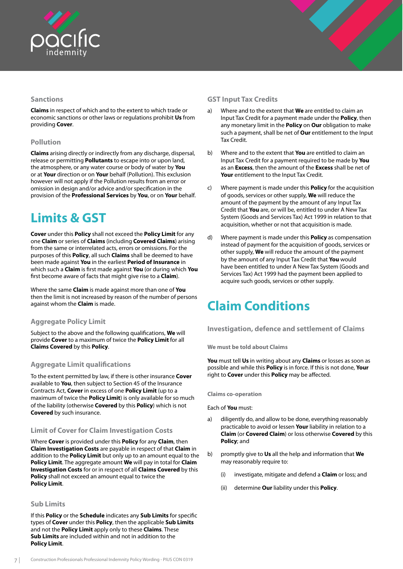<span id="page-9-0"></span>

## **Sanctions**

**Claims** in respect of which and to the extent to which trade or economic sanctions or other laws or regulations prohibit **Us** from providing **Cover**.

## **Pollution**

**Claims** arising directly or indirectly from any discharge, dispersal, release or permitting **Pollutants** to escape into or upon land, the atmosphere, or any water course or body of water by **You** or at **Your** direction or on **Your** behalf (Pollution). This exclusion however will not apply if the Pollution results from an error or omission in design and/or advice and/or specification in the provision of the **Professional Services** by **You**, or on **Your** behalf.

## **Limits & GST**

**Cover** under this **Policy** shall not exceed the **Policy Limit** for any one **Claim** or series of **Claims** (including **Covered Claims**) arising from the same or interrelated acts, errors or omissions. For the purposes of this **Policy**, all such **Claims** shall be deemed to have been made against **You** in the earliest **Period of Insurance** in which such a **Claim** is first made against **You** (or during which **You** first become aware of facts that might give rise to a **Claim**).

Where the same **Claim** is made against more than one of **You** then the limit is not increased by reason of the number of persons against whom the **Claim** is made.

## **Aggregate Policy Limit**

Subject to the above and the following qualifications, **We** will provide **Cover** to a maximum of twice the **Policy Limit** for all **Claims Covered** by this **Policy**.

## **Aggregate Limit qualifications**

To the extent permitted by law, if there is other insurance **Cover** available to **You**, then subject to Section 45 of the Insurance Contracts Act, **Cover** in excess of one **Policy Limit** (up to a maximum of twice the **Policy Limit**) is only available for so much of the liability (otherwise **Covered** by this **Policy**) which is not **Covered** by such insurance.

## **Limit of Cover for Claim Investigation Costs**

Where **Cover** is provided under this **Policy** for any **Claim**, then **Claim Investigation Costs** are payable in respect of that **Claim** in addition to the **Policy Limit** but only up to an amount equal to the **Policy Limit**. The aggregate amount **We** will pay in total for **Claim Investigation Costs** for or in respect of all **Claims Covered** by this **Policy** shall not exceed an amount equal to twice the **Policy Limit**.

## **Sub Limits**

If this **Policy** or the **Schedule** indicates any **Sub Limits** for specific types of **Cover** under this **Policy**, then the applicable **Sub Limits**  and not the **Policy Limit** apply only to these **Claims**. These **Sub Limits** are included within and not in addition to the **Policy Limit**.

## **GST Input Tax Credits**

- a) Where and to the extent that **We** are entitled to claim an Input Tax Credit for a payment made under the **Policy**, then any monetary limit in the **Policy** on **Our** obligation to make such a payment, shall be net of **Our** entitlement to the Input Tax Credit.
- b) Where and to the extent that **You** are entitled to claim an Input Tax Credit for a payment required to be made by **You**  as an **Excess**, then the amount of the **Excess** shall be net of **Your** entitlement to the Input Tax Credit.
- c) Where payment is made under this **Policy** for the acquisition of goods, services or other supply, **We** will reduce the amount of the payment by the amount of any Input Tax Credit that **You** are, or will be, entitled to under A New Tax System (Goods and Services Tax) Act 1999 in relation to that acquisition, whether or not that acquisition is made.
- d) Where payment is made under this **Policy** as compensation instead of payment for the acquisition of goods, services or other supply, **We** will reduce the amount of the payment by the amount of any Input Tax Credit that **You** would have been entitled to under A New Tax System (Goods and Services Tax) Act 1999 had the payment been applied to acquire such goods, services or other supply.

## **Claim Conditions**

**Investigation, defence and settlement of Claims**

**We must be told about Claims**

**You** must tell **Us** in writing about any **Claims** or losses as soon as possible and while this **Policy** is in force. If this is not done, **Your**  right to **Cover** under this **Policy** may be affected.

**Claims co-operation**

Each of **You** must:

- a) diligently do, and allow to be done, everything reasonably practicable to avoid or lessen **Your** liability in relation to a **Claim** (or **Covered Claim**) or loss otherwise **Covered** by this **Policy**; and
- b) promptly give to **Us** all the help and information that **We**  may reasonably require to:
	- (i) investigate, mitigate and defend a **Claim** or loss; and
	- (ii) determine **Our** liability under this **Policy**.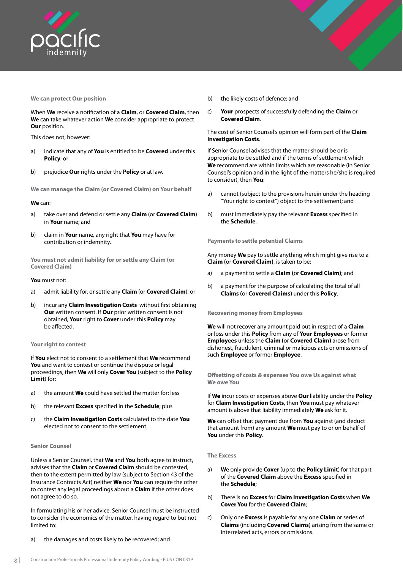<span id="page-10-0"></span>

#### **We can protect Our position**

When **We** receive a notification of a **Claim**, or **Covered Claim**, then **We** can take whatever action **We** consider appropriate to protect **Our** position.

This does not, however:

- a) indicate that any of **You** is entitled to be **Covered** under this **Policy**; or
- b) prejudice **Our** rights under the **Policy** or at law.

**We can manage the Claim (or Covered Claim) on Your behalf**

#### **We** can:

- a) take over and defend or settle any **Claim** (or **Covered Claim**) in **Your** name; and
- b) claim in **Your** name, any right that **You** may have for contribution or indemnity.

**You must not admit liability for or settle any Claim (or Covered Claim)**

#### **You** must not:

- a) admit liability for, or settle any **Claim** (or **Covered Claim**); or
- b) incur any **Claim Investigation Costs** without first obtaining **Our** written consent. If **Our** prior written consent is not obtained, **Your** right to **Cover** under this **Policy** may be affected.

#### **Your right to contest**

If **You** elect not to consent to a settlement that **We** recommend **You** and want to contest or continue the dispute or legal proceedings, then **We** will only **Cover You** (subject to the **Policy Limit**) for:

- a) the amount **We** could have settled the matter for; less
- b) the relevant **Excess** specified in the **Schedule**; plus
- c) the **Claim Investigation Costs** calculated to the date **You**  elected not to consent to the settlement.

#### **Senior Counsel**

Unless a Senior Counsel, that **We** and **You** both agree to instruct, advises that the **Claim** or **Covered Claim** should be contested, then to the extent permitted by law (subject to Section 43 of the Insurance Contracts Act) neither **We** nor **You** can require the other to contest any legal proceedings about a **Claim** if the other does not agree to do so.

In formulating his or her advice, Senior Counsel must be instructed to consider the economics of the matter, having regard to but not limited to:

a) the damages and costs likely to be recovered; and

- b) the likely costs of defence; and
- c) **Your** prospects of successfully defending the **Claim** or **Covered Claim**.

#### The cost of Senior Counsel's opinion will form part of the **Claim Investigation Costs**.

If Senior Counsel advises that the matter should be or is appropriate to be settled and if the terms of settlement which **We** recommend are within limits which are reasonable (in Senior Counsel's opinion and in the light of the matters he/she is required to consider), then **You**:

- a) cannot (subject to the provisions herein under the heading "Your right to contest") object to the settlement; and
- b) must immediately pay the relevant **Excess** specified in the **Schedule**.

**Payments to settle potential Claims**

Any money **We** pay to settle anything which might give rise to a **Claim (**or **Covered Claim)**, is taken to be:

- a) a payment to settle a **Claim (**or **Covered Claim)**; and
- b) a payment for the purpose of calculating the total of all **Claims (**or **Covered Claims)** under this **Policy**.

#### **Recovering money from Employees**

**We** will not recover any amount paid out in respect of a **Claim**  or loss under this **Policy** from any of **Your Employees** or former **Employees** unless the **Claim (**or **Covered Claim)** arose from dishonest, fraudulent, criminal or malicious acts or omissions of such **Employee** or former **Employee**.

**Offsetting of costs & expenses You owe Us against what We owe You**

If **We** incur costs or expenses above **Our** liability under the **Policy**  for **Claim Investigation Costs**, then **You** must pay whatever amount is above that liability immediately **We** ask for it.

**We** can offset that payment due from **You** against (and deduct that amount from) any amount **We** must pay to or on behalf of **You** under this **Policy**.

**The Excess**

- a) **We** only provide **Cover** (up to the **Policy Limit**) for that part of the **Covered Claim** above the **Excess** specified in the **Schedule**;
- b) There is no **Excess** for **Claim Investigation Costs** when **We Cover You** for the **Covered Claim**;
- c) Only one **Excess** is payable for any one **Claim** or series of **Claims** (including **Covered Claims)** arising from the same or interrelated acts, errors or omissions.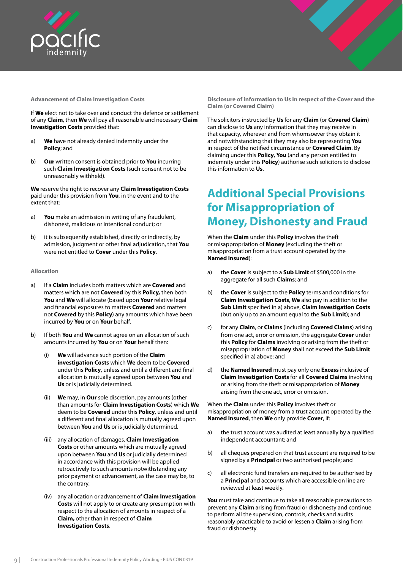<span id="page-11-0"></span>

#### **Advancement of Claim Investigation Costs**

If **We** elect not to take over and conduct the defence or settlement of any **Claim**, then **We** will pay all reasonable and necessary **Claim Investigation Costs** provided that:

- a) **We** have not already denied indemnity under the **Policy**; and
- b) **Our** written consent is obtained prior to **You** incurring such **Claim Investigation Costs** (such consent not to be unreasonably withheld).

**We** reserve the right to recover any **Claim Investigation Costs**  paid under this provision from **You**, in the event and to the extent that:

- a) **You** make an admission in writing of any fraudulent, dishonest, malicious or intentional conduct; or
- b) it is subsequently established, directly or indirectly, by admission, judgment or other final adjudication, that **You**  were not entitled to **Cover** under this **Policy**.

#### **Allocation**

- a) If a **Claim** includes both matters which are **Covered** and matters which are not **Covered** by this **Policy,** then both **You** and **We** will allocate (based upon **Your** relative legal and financial exposures to matters **Covered** and matters not **Covered** by this **Policy**) any amounts which have been incurred by **You** or on **Your** behalf.
- b) If both **You** and **We** cannot agree on an allocation of such amounts incurred by **You** or on **Your** behalf then:
	- (i) **We** will advance such portion of the **Claim investigation Costs** which **We** deem to be **Covered** under this **Policy**, unless and until a different and final allocation is mutually agreed upon between **You** and **Us** or is judicially determined.
	- (ii) **We** may, in **Our** sole discretion, pay amounts (other than amounts for **Claim Investigation Costs**) which **We** deem to be **Covered** under this **Policy**, unless and until a different and final allocation is mutually agreed upon between **You** and **Us** or is judicially determined.
	- (iii) any allocation of damages, **Claim Investigation Costs** or other amounts which are mutually agreed upon between **You** and **Us** or judicially determined in accordance with this provision will be applied retroactively to such amounts notwithstanding any prior payment or advancement, as the case may be, to the contrary.
	- (iv) any allocation or advancement of **Claim Investigation Costs** will not apply to or create any presumption with respect to the allocation of amounts in respect of a **Claim,** other than in respect of **Claim Investigation Costs**.

**Disclosure of information to Us in respect of the Cover and the Claim (or Covered Claim)**

The solicitors instructed by **Us** for any **Claim** (or **Covered Claim**) can disclose to **Us** any information that they may receive in that capacity, wherever and from whomsoever they obtain it and notwithstanding that they may also be representing **You** in respect of the notified circumstance or **Covered Claim**. By claiming under this **Policy**, **You** (and any person entitled to indemnity under this **Policy**) authorise such solicitors to disclose this information to **Us**.

## **Additional Special Provisions for Misappropriation of Money, Dishonesty and Fraud**

When the **Claim** under this **Policy** involves the theft or misappropriation of **Money** (excluding the theft or misappropriation from a trust account operated by the **Named Insured**):

- a) the **Cover** is subject to a **Sub Limit** of \$500,000 in the aggregate for all such **Claims**; and
- b) the **Cover** is subject to the **Policy** terms and conditions for **Claim Investigation Costs**, **We** also pay in addition to the **Sub Limit** specified in a) above, **Claim Investigation Costs**  (but only up to an amount equal to the **Sub Limit**); and
- c) for any **Claim**, or **Claims** (including **Covered Claims**) arising from one act, error or omission, the aggregate **Cover** under this **Policy** for **Claims** involving or arising from the theft or misappropriation of **Money** shall not exceed the **Sub Limit**  specified in a) above; and
- d) the **Named Insured** must pay only one **Excess** inclusive of **Claim Investigation Costs** for all **Covered Claims** involving or arising from the theft or misappropriation of **Money** arising from the one act, error or omission.

When the **Claim** under this **Policy** involves theft or misappropriation of money from a trust account operated by the **Named Insured**, then **We** only provide **Cover**, if:

- a) the trust account was audited at least annually by a qualified independent accountant; and
- b) all cheques prepared on that trust account are required to be signed by a **Principal** or two authorised people; and
- c) all electronic fund transfers are required to be authorised by a **Principal** and accounts which are accessible on line are reviewed at least weekly.

**You** must take and continue to take all reasonable precautions to prevent any **Claim** arising from fraud or dishonesty and continue to perform all the supervision, controls, checks and audits reasonably practicable to avoid or lessen a **Claim** arising from fraud or dishonesty.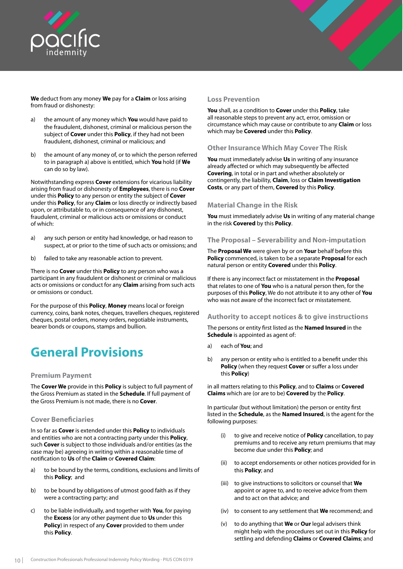<span id="page-12-0"></span>

**We** deduct from any money **We** pay for a **Claim** or loss arising from fraud or dishonesty:

- a) the amount of any money which **You** would have paid to the fraudulent, dishonest, criminal or malicious person the subject of **Cover** under this **Policy**, if they had not been fraudulent, dishonest, criminal or malicious; and
- b) the amount of any money of, or to which the person referred to in paragraph a) above is entitled, which **You** hold (if **We**  can do so by law).

Notwithstanding express **Cover** extensions for vicarious liability arising from fraud or dishonesty of **Employees**, there is no **Cover**  under this **Policy** to any person or entity the subject of **Cover** under this **Policy**, for any **Claim** or loss directly or indirectly based upon, or attributable to, or in consequence of any dishonest, fraudulent, criminal or malicious acts or omissions or conduct of which:

- a) any such person or entity had knowledge, or had reason to suspect, at or prior to the time of such acts or omissions; and
- b) failed to take any reasonable action to prevent.

There is no **Cover** under this **Policy** to any person who was a participant in any fraudulent or dishonest or criminal or malicious acts or omissions or conduct for any **Claim** arising from such acts or omissions or conduct.

For the purpose of this **Policy**, **Money** means local or foreign currency, coins, bank notes, cheques, travellers cheques, registered cheques, postal orders, money orders, negotiable instruments, bearer bonds or coupons, stamps and bullion.

## **General Provisions**

#### **Premium Payment**

The **Cover We** provide in this **Policy** is subject to full payment of the Gross Premium as stated in the **Schedule**. If full payment of the Gross Premium is not made, there is no **Cover**.

## **Cover Beneficiaries**

In so far as **Cover** is extended under this **Policy** to individuals and entities who are not a contracting party under this **Policy**, such **Cover** is subject to those individuals and/or entities (as the case may be) agreeing in writing within a reasonable time of notification to **Us** of the **Claim** or **Covered Claim**:

- a) to be bound by the terms, conditions, exclusions and limits of this **Policy**; and
- b) to be bound by obligations of utmost good faith as if they were a contracting party; and
- c) to be liable individually, and together with **You**, for paying the **Excess** (or any other payment due to **Us** under this **Policy**) in respect of any **Cover** provided to them under this **Policy**.

#### **Loss Prevention**

**You** shall, as a condition to **Cover** under this **Policy**, take all reasonable steps to prevent any act, error, omission or circumstance which may cause or contribute to any **Claim** or loss which may be **Covered** under this **Policy**.

## **Other Insurance Which May Cover The Risk**

**You** must immediately advise **Us** in writing of any insurance already affected or which may subsequently be affected **Covering**, in total or in part and whether absolutely or contingently, the liability, **Claim**, loss or **Claim Investigation Costs**, or any part of them, **Covered** by this **Policy**.

## **Material Change in the Risk**

**You** must immediately advise **Us** in writing of any material change in the risk **Covered** by this **Policy**.

## **The Proposal – Severability and Non-imputation**

The **Proposal We** were given by or on **Your** behalf before this **Policy** commenced, is taken to be a separate **Proposal** for each natural person or entity **Covered** under this **Policy**.

If there is any incorrect fact or misstatement in the **Proposal** that relates to one of **You** who is a natural person then, for the purposes of this **Policy**, We do not attribute it to any other of **You** who was not aware of the incorrect fact or misstatement.

#### **Authority to accept notices & to give instructions**

The persons or entity first listed as the **Named Insured** in the **Schedule** is appointed as agent of:

- a) each of **You**; and
- b) any person or entity who is entitled to a benefit under this **Policy** (when they request **Cover** or suffer a loss under this **Policy**)

in all matters relating to this **Policy**, and to **Claims** or **Covered Claims** which are (or are to be) **Covered** by the **Policy**.

In particular (but without limitation) the person or entity first listed in the **Schedule**, as the **Named Insured**, is the agent for the following purposes:

- (i) to give and receive notice of **Policy** cancellation, to pay premiums and to receive any return premiums that may become due under this **Policy**; and
- (ii) to accept endorsements or other notices provided for in this **Policy**; and
- (iii) to give instructions to solicitors or counsel that **We**  appoint or agree to, and to receive advice from them and to act on that advice; and
- (iv) to consent to any settlement that **We** recommend; and
- (v) to do anything that **We** or **Our** legal advisers think might help with the procedures set out in this **Policy** for settling and defending **Claims** or **Covered Claims**; and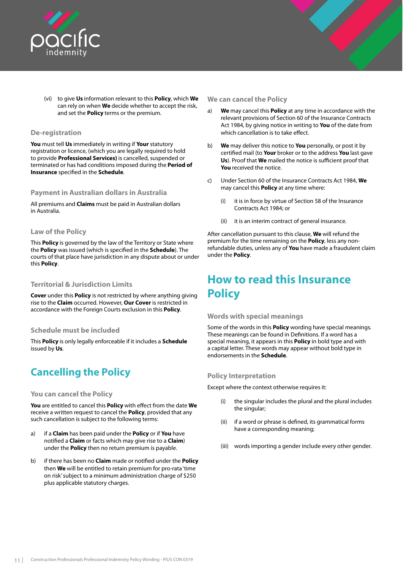<span id="page-13-0"></span>

(vi) to give **Us** information relevant to this **Policy**, which **We**  can rely on when **We** decide whether to accept the risk, and set the **Policy** terms or the premium.

## **De-registration**

**You** must tell **Us** immediately in writing if **Your** statutory registration or licence, (which you are legally required to hold to provide **Professional Services)** is cancelled, suspended or terminated or has had conditions imposed during the **Period of Insurance** specified in the **Schedule**.

## **Payment in Australian dollars in Australia**

All premiums and **Claims** must be paid in Australian dollars in Australia.

#### **Law of the Policy**

This **Policy** is governed by the law of the Territory or State where the **Policy** was issued (which is specified in the **Schedule**). The courts of that place have jurisdiction in any dispute about or under this **Policy**.

#### **Territorial & Jurisdiction Limits**

**Cover** under this **Policy** is not restricted by where anything giving rise to the **Claim** occurred. However, **Our Cover** is restricted in accordance with the Foreign Courts exclusion in this **Policy**.

## **Schedule must be included**

This **Policy** is only legally enforceable if it includes a **Schedule** issued by **Us**.

## **Cancelling the Policy**

#### **You can cancel the Policy**

**You** are entitled to cancel this **Policy** with effect from the date **We**  receive a written request to cancel the **Policy**, provided that any such cancellation is subject to the following terms:

- a) if a **Claim** has been paid under the **Policy** or if **You** have notified a **Claim** or facts which may give rise to a **Claim**) under the **Policy** then no return premium is payable.
- b) if there has been no **Claim** made or notified under the **Policy** then **We** will be entitled to retain premium for pro-rata 'time on risk' subject to a minimum administration charge of \$250 plus applicable statutory charges.

#### **We can cancel the Policy**

- a) **We** may cancel this **Policy** at any time in accordance with the relevant provisions of Section 60 of the Insurance Contracts Act 1984, by giving notice in writing to **You** of the date from which cancellation is to take effect.
- b) **We** may deliver this notice to **You** personally, or post it by certified mail (to **Your** broker or to the address **You** last gave **Us**). Proof that **We** mailed the notice is sufficient proof that **You** received the notice.
- c) Under Section 60 of the Insurance Contracts Act 1984, **We**  may cancel this **Policy** at any time where:
	- (i) it is in force by virtue of Section 58 of the Insurance Contracts Act 1984; or
	- (ii) it is an interim contract of general insurance.

After cancellation pursuant to this clause, **We** will refund the premium for the time remaining on the **Policy**, less any nonrefundable duties, unless any of **You** have made a fraudulent claim under the **Policy**.

## **How to read this Insurance Policy**

#### **Words with special meanings**

Some of the words in this **Policy** wording have special meanings. These meanings can be found in Definitions. If a word has a special meaning, it appears in this **Policy** in bold type and with a capital letter. These words may appear without bold type in endorsements in the **Schedule**.

## **Policy Interpretation**

Except where the context otherwise requires it:

- the singular includes the plural and the plural includes the singular;
- (ii) if a word or phrase is defined, its grammatical forms have a corresponding meaning;
- (iii) words importing a gender include every other gender.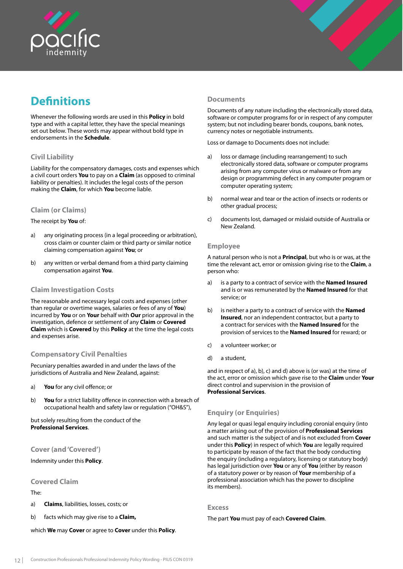<span id="page-14-0"></span>

## **Definitions**

Whenever the following words are used in this **Policy** in bold type and with a capital letter, they have the special meanings set out below. These words may appear without bold type in endorsements in the **Schedule**.

## **Civil Liability**

Liability for the compensatory damages, costs and expenses which a civil court orders **You** to pay on a **Claim** (as opposed to criminal liability or penalties). It includes the legal costs of the person making the **Claim**, for which **You** become liable.

## **Claim (or Claims)**

The receipt by **You** of:

- a) any originating process (in a legal proceeding or arbitration), cross claim or counter claim or third party or similar notice claiming compensation against **You**; or
- b) any written or verbal demand from a third party claiming compensation against **You**.

## **Claim Investigation Costs**

The reasonable and necessary legal costs and expenses (other than regular or overtime wages, salaries or fees of any of **You**) incurred by **You** or on **Your** behalf with **Our** prior approval in the investigation, defence or settlement of any **Claim** or **Covered Claim** which is **Covered** by this **Policy** at the time the legal costs and expenses arise.

## **Compensatory Civil Penalties**

Pecuniary penalties awarded in and under the laws of the jurisdictions of Australia and New Zealand, against:

- a) **You** for any civil offence; or
- b) **You** for a strict liability offence in connection with a breach of occupational health and safety law or regulation ("OH&S"),

but solely resulting from the conduct of the **Professional Services**.

## **Cover (and 'Covered')**

Indemnity under this **Policy**.

## **Covered Claim**

The:

- a) **Claims**, liabilities, losses, costs; or
- b) facts which may give rise to a **Claim,**

which **We** may **Cover** or agree to **Cover** under this **Policy**.

## **Documents**

Documents of any nature including the electronically stored data, software or computer programs for or in respect of any computer system; but not including bearer bonds, coupons, bank notes, currency notes or negotiable instruments.

Loss or damage to Documents does not include:

- a) loss or damage (including rearrangement) to such electronically stored data, software or computer programs arising from any computer virus or malware or from any design or programming defect in any computer program or computer operating system;
- b) normal wear and tear or the action of insects or rodents or other gradual process;
- c) documents lost, damaged or mislaid outside of Australia or New Zealand.

#### **Employee**

A natural person who is not a **Principal**, but who is or was, at the time the relevant act, error or omission giving rise to the **Claim**, a person who:

- a) is a party to a contract of service with the **Named Insured**  and is or was remunerated by the **Named Insured** for that service; or
- b) is neither a party to a contract of service with the **Named Insured**, nor an independent contractor, but a party to a contract for services with the **Named Insured** for the provision of services to the **Named Insured** for reward; or
- c) a volunteer worker; or
- d) a student,

and in respect of a), b), c) and d) above is (or was) at the time of the act, error or omission which gave rise to the **Claim** under **Your**  direct control and supervision in the provision of **Professional Services**.

## **Enquiry (or Enquiries)**

Any legal or quasi legal enquiry including coronial enquiry (into a matter arising out of the provision of **Professional Services** and such matter is the subject of and is not excluded from **Cover** under this **Policy**) in respect of which **You** are legally required to participate by reason of the fact that the body conducting the enquiry (including a regulatory, licensing or statutory body) has legal jurisdiction over **You** or any of **You** (either by reason of a statutory power or by reason of **Your** membership of a professional association which has the power to discipline its members).

#### **Excess**

The part **You** must pay of each **Covered Claim**.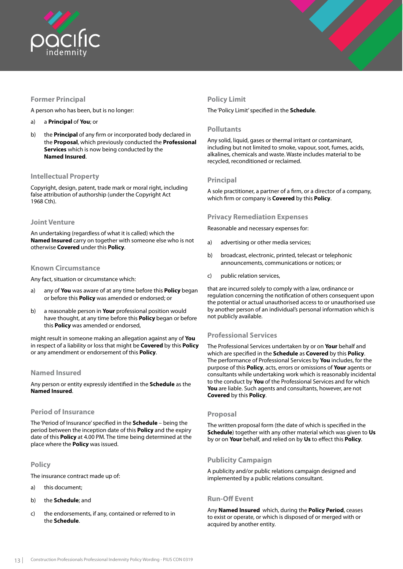<span id="page-15-0"></span>

## **Former Principal**

A person who has been, but is no longer:

- a) a **Principal** of **You**; or
- b) the **Principal** of any firm or incorporated body declared in the **Proposal**, which previously conducted the **Professional Services** which is now being conducted by the **Named Insured**.

## **Intellectual Property**

Copyright, design, patent, trade mark or moral right, including false attribution of authorship (under the Copyright Act 1968 Cth).

## **Joint Venture**

An undertaking (regardless of what it is called) which the **Named Insured** carry on together with someone else who is not otherwise **Covered** under this **Policy**.

## **Known Circumstance**

Any fact, situation or circumstance which:

- a) any of **You** was aware of at any time before this **Policy** began or before this **Policy** was amended or endorsed; or
- b) a reasonable person in **Your** professional position would have thought, at any time before this **Policy** began or before this **Policy** was amended or endorsed,

might result in someone making an allegation against any of **You**  in respect of a liability or loss that might be **Covered** by this **Policy**  or any amendment or endorsement of this **Policy**.

## **Named Insured**

Any person or entity expressly identified in the **Schedule** as the **Named Insured**.

## **Period of Insurance**

The 'Period of Insurance' specified in the **Schedule** – being the period between the inception date of this **Policy** and the expiry date of this **Policy** at 4.00 PM. The time being determined at the place where the **Policy** was issued.

## **Policy**

The insurance contract made up of:

- a) this document;
- b) the **Schedule**; and
- c) the endorsements, if any, contained or referred to in the **Schedule**.

## **Policy Limit**

The 'Policy Limit' specified in the **Schedule**.

## **Pollutants**

Any solid, liquid, gases or thermal irritant or contaminant, including but not limited to smoke, vapour, soot, fumes, acids, alkalines, chemicals and waste. Waste includes material to be recycled, reconditioned or reclaimed.

## **Principal**

A sole practitioner, a partner of a firm, or a director of a company, which firm or company is **Covered** by this **Policy**.

## **Privacy Remediation Expenses**

Reasonable and necessary expenses for:

- a) advertising or other media services;
- b) broadcast, electronic, printed, telecast or telephonic announcements, communications or notices; or
- c) public relation services,

that are incurred solely to comply with a law, ordinance or regulation concerning the notification of others consequent upon the potential or actual unauthorised access to or unauthorised use by another person of an individual's personal information which is not publicly available.

## **Professional Services**

The Professional Services undertaken by or on **Your** behalf and which are specified in the **Schedule** as **Covered** by this **Policy**. The performance of Professional Services by **You** includes, for the purpose of this **Policy**, acts, errors or omissions of **Your** agents or consultants while undertaking work which is reasonably incidental to the conduct by **You** of the Professional Services and for which **You** are liable. Such agents and consultants, however, are not **Covered** by this **Policy**.

## **Proposal**

The written proposal form (the date of which is specified in the **Schedule**) together with any other material which was given to **Us** by or on **Your** behalf, and relied on by **Us** to effect this **Policy**.

## **Publicity Campaign**

A publicity and/or public relations campaign designed and implemented by a public relations consultant.

## **Run-Off Event**

Any **Named Insured** which, during the **Policy Period**, ceases to exist or operate, or which is disposed of or merged with or acquired by another entity.